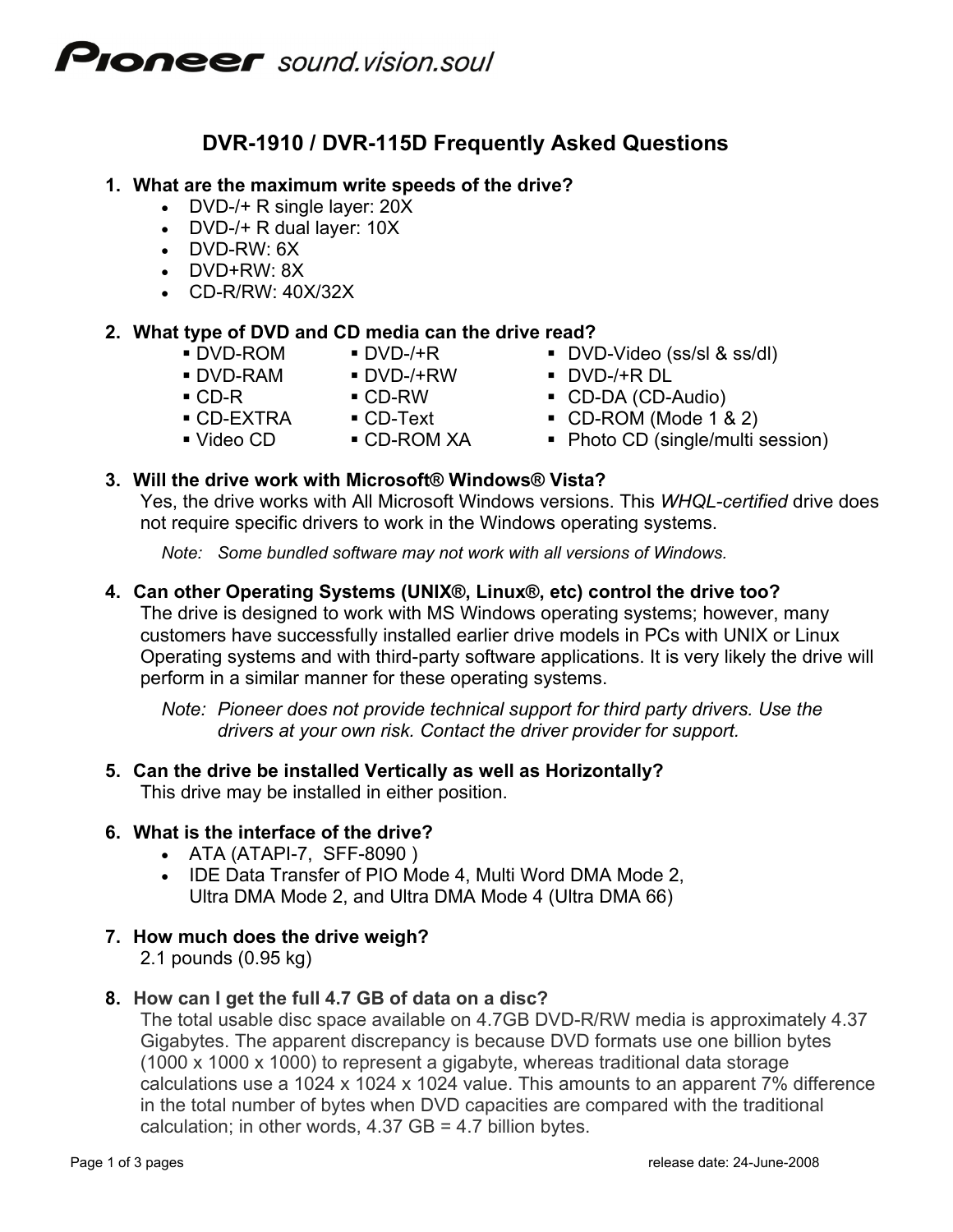# **PIONEEF** sound vision soul

# **DVR-1910 / DVR-115D Frequently Asked Questions**

#### **1. What are the maximum write speeds of the drive?**

- DVD-/+ R single layer: 20X
- DVD-/+ R dual layer: 10X
- DVD-RW: 6X
- DVD+RW: 8X
- CD-R/RW: 40X/32X

### **2. What type of DVD and CD media can the drive read?**

- 
- 
- - -
		-
- DVD-ROM DVD-/+R DVD-Video (ss/sl & ss/dl) DVD-RAM DVD-/+RW DVD-/+R DL
- CD-R CD-RW CD-DA (CD-Audio)
- CD-EXTRA CD-Text CD-ROM (Mode 1 & 2)
- Video CD CD-ROM XA Photo CD (single/multi session)

### **3. Will the drive work with Microsoft® Windows® Vista?**

Yes, the drive works with All Microsoft Windows versions. This *WHQL-certified* drive does not require specific drivers to work in the Windows operating systems.

*Note: Some bundled software may not work with all versions of Windows.* 

#### **4. Can other Operating Systems (UNIX®, Linux®, etc) control the drive too?**

The drive is designed to work with MS Windows operating systems; however, many customers have successfully installed earlier drive models in PCs with UNIX or Linux Operating systems and with third-party software applications. It is very likely the drive will perform in a similar manner for these operating systems.

*Note: Pioneer does not provide technical support for third party drivers. Use the drivers at your own risk. Contact the driver provider for support.* 

# **5. Can the drive be installed Vertically as well as Horizontally?**

This drive may be installed in either position.

# **6. What is the interface of the drive?**

- ATA (ATAPI-7, SFF-8090 )
- IDE Data Transfer of PIO Mode 4, Multi Word DMA Mode 2, Ultra DMA Mode 2, and Ultra DMA Mode 4 (Ultra DMA 66)

# **7. How much does the drive weigh?**

2.1 pounds (0.95 kg)

#### **8. How can I get the full 4.7 GB of data on a disc?**

The total usable disc space available on 4.7GB DVD-R/RW media is approximately 4.37 Gigabytes. The apparent discrepancy is because DVD formats use one billion bytes (1000 x 1000 x 1000) to represent a gigabyte, whereas traditional data storage calculations use a 1024 x 1024 x 1024 value. This amounts to an apparent 7% difference in the total number of bytes when DVD capacities are compared with the traditional calculation; in other words,  $4.37$  GB =  $4.7$  billion bytes.

- 
-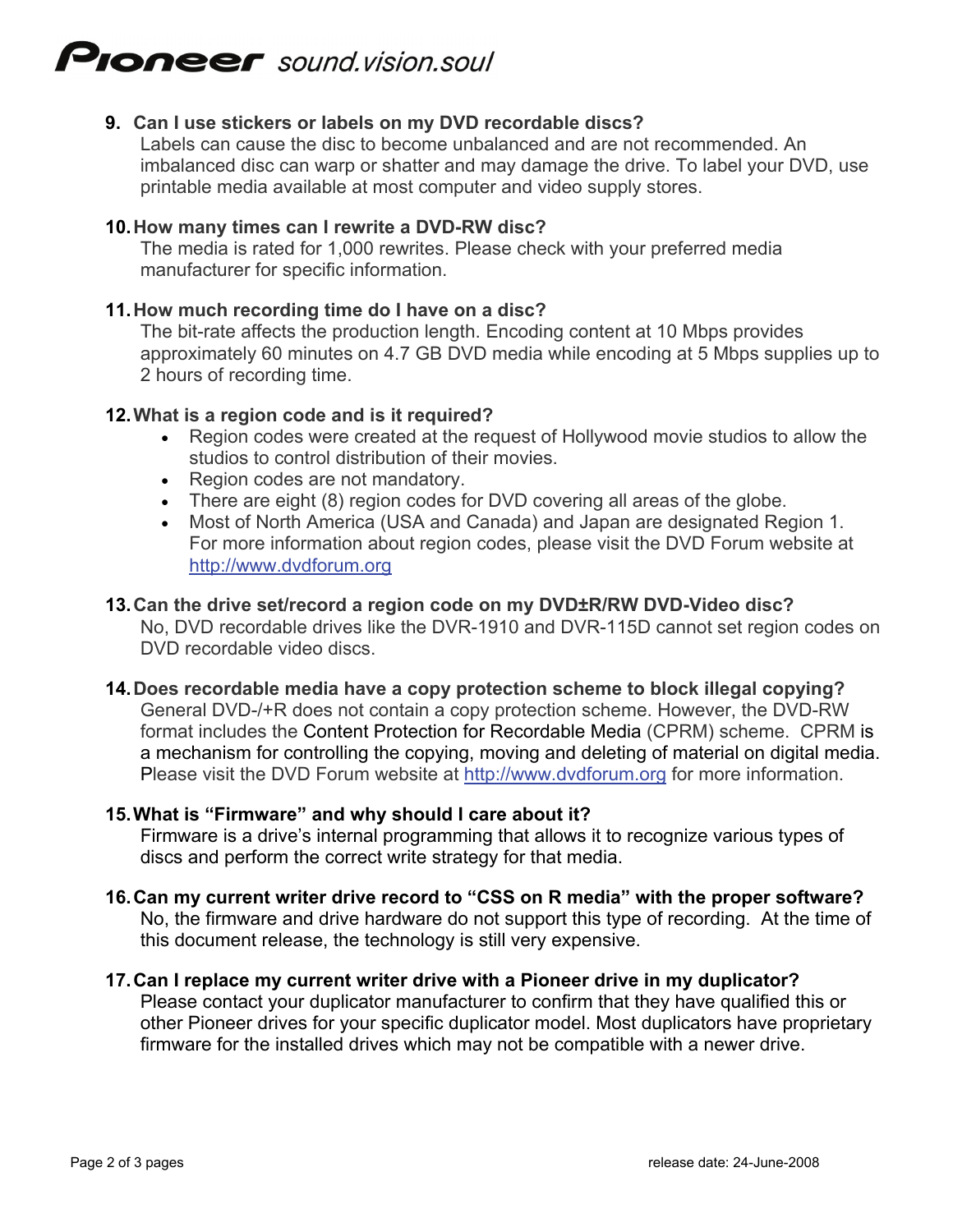# **PIONEEF** sound.vision.soul

### **9. C an I use stickers or labels on my DVD recordable discs?**

Labels can cause the disc to become unbalanced and are not recommended. An imbalanced disc can warp or shatter and may damage the drive. To label your DVD, use printable media available at most computer and video supply stores.

#### **10. H ow many times can I rewrite a DVD-RW disc?**

The media is rated for 1,000 rewrites. Please check with your preferred media manufacturer for specific information.

#### **11. H ow much recording time do I have on a disc?**

The bit-rate affects the production length. Encoding content at 10 Mbps provides approximately 60 minutes on 4.7 GB DVD media while encoding at 5 Mbps supplies up to 2 hours of recording time.

#### **12. W hat is a region code and is it required?**

- Region codes were created at the request of Hollywood movie studios to allow the studios to control distribution of their movies.
- Region codes are not mandatory.
- There are eight (8) region codes for DVD covering all areas of the globe.
- Most of North America (USA and Canada) and Japan are designated Region 1. For more information about region codes, please visit the DVD Forum website at http://www.dvdforum.org

#### **13. Can th e drive set/record a region code on my DVD±R/RW DVD-Video disc?**

No, DVD recordable drives like the DVR-1910 and DVR-115D cannot set region codes on DVD recordable video discs.

# **14. Does recordable media have a copy protection scheme to block illegal copying?**

General DVD-/+R does not contain a copy protection scheme. However, the DVD-RW format includes the Content Protection for Recordable Media (CPRM) scheme. CPRM is a mechanism for controlling the copying, moving and deleting of material on digital media. Please visit the DVD Forum website at [http://www.dvdforum.org](http://www.dvdforum.org/) for more information.

#### **hat is "Firmware" and why should I care about it? 15. W**

Firmware is a drive's internal programming that allows it to recognize various types of discs and perform the correct write strategy for that media.

#### **? 16. Can my current writer drive record to "CSS on R media" with the proper software** No, the firmware and drive hardware do not support this type of recording. At the time of this document release, the technology is still very expensive.

#### Please contact your duplicator manufacturer to confirm that they have qualified this or **17. Can I replace my current writer drive with a Pioneer drive in my duplicator?**  other Pioneer drives for your specific duplicator model. Most duplicators have proprietary firmware for the installed drives which may not be compatible with a newer drive.